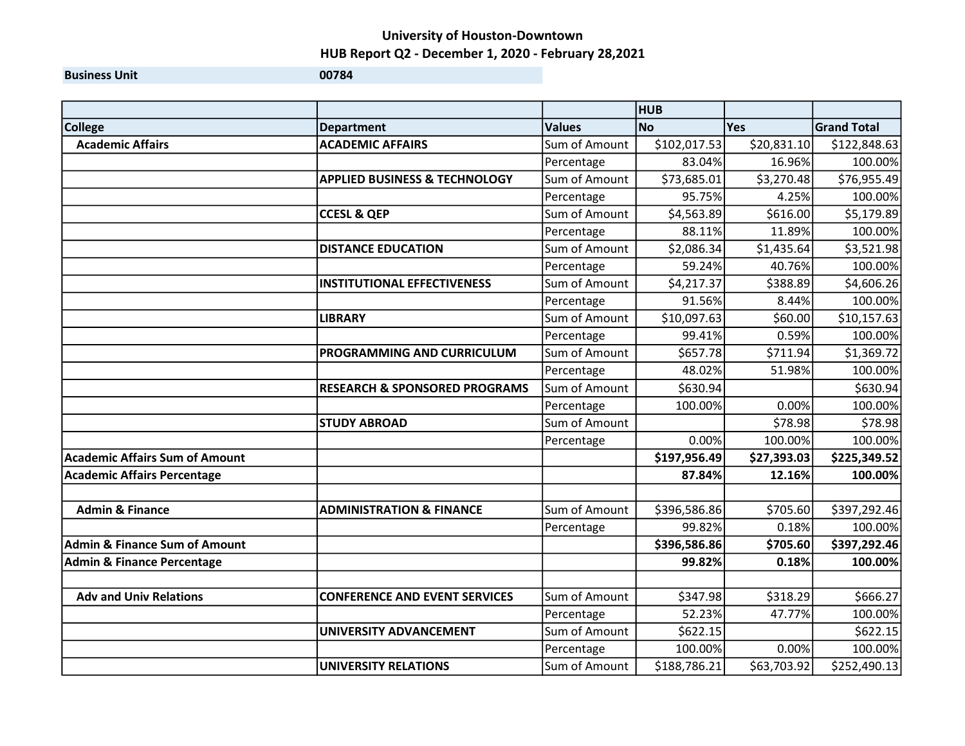## University of Houston-Downtown HUB Report Q2 - December 1, 2020 - February 28,2021

**Business Unit 00784** 

|                                          |                                          |               | <b>HUB</b>   |             |                    |
|------------------------------------------|------------------------------------------|---------------|--------------|-------------|--------------------|
| <b>College</b>                           | <b>Department</b>                        | <b>Values</b> | <b>No</b>    | <b>Yes</b>  | <b>Grand Total</b> |
| <b>Academic Affairs</b>                  | <b>ACADEMIC AFFAIRS</b>                  | Sum of Amount | \$102,017.53 | \$20,831.10 | \$122,848.63       |
|                                          |                                          | Percentage    | 83.04%       | 16.96%      | 100.00%            |
|                                          | <b>APPLIED BUSINESS &amp; TECHNOLOGY</b> | Sum of Amount | \$73,685.01  | \$3,270.48  | \$76,955.49        |
|                                          |                                          | Percentage    | 95.75%       | 4.25%       | 100.00%            |
|                                          | <b>CCESL &amp; QEP</b>                   | Sum of Amount | \$4,563.89   | \$616.00    | \$5,179.89         |
|                                          |                                          | Percentage    | 88.11%       | 11.89%      | 100.00%            |
|                                          | <b>DISTANCE EDUCATION</b>                | Sum of Amount | \$2,086.34   | \$1,435.64  | \$3,521.98         |
|                                          |                                          | Percentage    | 59.24%       | 40.76%      | 100.00%            |
|                                          | <b>INSTITUTIONAL EFFECTIVENESS</b>       | Sum of Amount | \$4,217.37   | \$388.89    | \$4,606.26         |
|                                          |                                          | Percentage    | 91.56%       | 8.44%       | 100.00%            |
|                                          | <b>LIBRARY</b>                           | Sum of Amount | \$10,097.63  | \$60.00     | \$10,157.63        |
|                                          |                                          | Percentage    | 99.41%       | 0.59%       | 100.00%            |
|                                          | PROGRAMMING AND CURRICULUM               | Sum of Amount | \$657.78     | \$711.94    | \$1,369.72         |
|                                          |                                          | Percentage    | 48.02%       | 51.98%      | 100.00%            |
|                                          | <b>RESEARCH &amp; SPONSORED PROGRAMS</b> | Sum of Amount | \$630.94     |             | \$630.94           |
|                                          |                                          | Percentage    | 100.00%      | 0.00%       | 100.00%            |
|                                          | <b>STUDY ABROAD</b>                      | Sum of Amount |              | \$78.98     | \$78.98            |
|                                          |                                          | Percentage    | 0.00%        | 100.00%     | 100.00%            |
| <b>Academic Affairs Sum of Amount</b>    |                                          |               | \$197,956.49 | \$27,393.03 | \$225,349.52       |
| <b>Academic Affairs Percentage</b>       |                                          |               | 87.84%       | 12.16%      | 100.00%            |
| <b>Admin &amp; Finance</b>               | <b>ADMINISTRATION &amp; FINANCE</b>      | Sum of Amount | \$396,586.86 | \$705.60    | \$397,292.46       |
|                                          |                                          | Percentage    | 99.82%       | 0.18%       | 100.00%            |
| <b>Admin &amp; Finance Sum of Amount</b> |                                          |               | \$396,586.86 | \$705.60    | \$397,292.46       |
| <b>Admin &amp; Finance Percentage</b>    |                                          |               | 99.82%       | 0.18%       | 100.00%            |
|                                          |                                          |               |              |             |                    |
| <b>Adv and Univ Relations</b>            | <b>CONFERENCE AND EVENT SERVICES</b>     | Sum of Amount | \$347.98     | \$318.29    | \$666.27           |
|                                          |                                          | Percentage    | 52.23%       | 47.77%      | 100.00%            |
|                                          | UNIVERSITY ADVANCEMENT                   | Sum of Amount | \$622.15     |             | \$622.15           |
|                                          |                                          | Percentage    | 100.00%      | 0.00%       | 100.00%            |
|                                          | <b>UNIVERSITY RELATIONS</b>              | Sum of Amount | \$188,786.21 | \$63,703.92 | \$252,490.13       |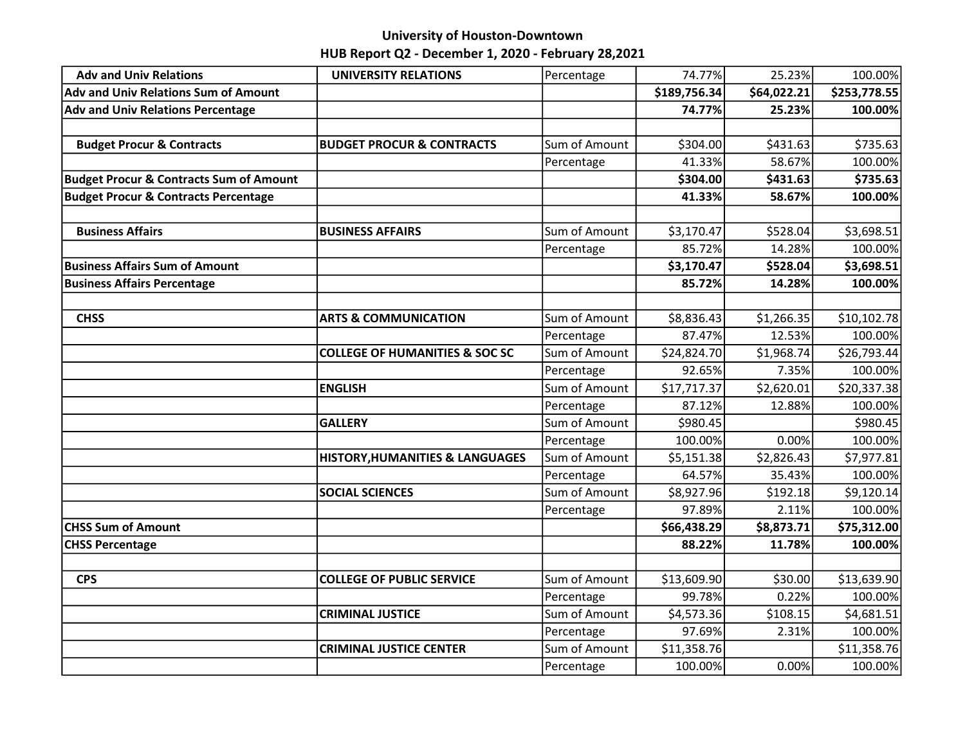## University of Houston-Downtown HUB Report Q2 - December 1, 2020 - February 28,2021

| <b>Adv and Univ Relations</b>                      | <b>UNIVERSITY RELATIONS</b>               | Percentage    | 74.77%       | 25.23%      | 100.00%      |
|----------------------------------------------------|-------------------------------------------|---------------|--------------|-------------|--------------|
| Adv and Univ Relations Sum of Amount               |                                           |               | \$189,756.34 | \$64,022.21 | \$253,778.55 |
| <b>Adv and Univ Relations Percentage</b>           |                                           |               | 74.77%       | 25.23%      | 100.00%      |
|                                                    |                                           |               |              |             |              |
| <b>Budget Procur &amp; Contracts</b>               | <b>BUDGET PROCUR &amp; CONTRACTS</b>      | Sum of Amount | \$304.00     | \$431.63    | \$735.63     |
|                                                    |                                           | Percentage    | 41.33%       | 58.67%      | 100.00%      |
| <b>Budget Procur &amp; Contracts Sum of Amount</b> |                                           |               | \$304.00     | \$431.63    | \$735.63     |
| <b>Budget Procur &amp; Contracts Percentage</b>    |                                           |               | 41.33%       | 58.67%      | 100.00%      |
|                                                    |                                           |               |              |             |              |
| <b>Business Affairs</b>                            | <b>BUSINESS AFFAIRS</b>                   | Sum of Amount | \$3,170.47   | \$528.04    | \$3,698.51   |
|                                                    |                                           | Percentage    | 85.72%       | 14.28%      | 100.00%      |
| <b>Business Affairs Sum of Amount</b>              |                                           |               | \$3,170.47   | \$528.04    | \$3,698.51   |
| <b>Business Affairs Percentage</b>                 |                                           |               | 85.72%       | 14.28%      | 100.00%      |
|                                                    |                                           |               |              |             |              |
| <b>CHSS</b>                                        | <b>ARTS &amp; COMMUNICATION</b>           | Sum of Amount | \$8,836.43   | \$1,266.35  | \$10,102.78  |
|                                                    |                                           | Percentage    | 87.47%       | 12.53%      | 100.00%      |
|                                                    | <b>COLLEGE OF HUMANITIES &amp; SOC SC</b> | Sum of Amount | \$24,824.70  | \$1,968.74  | \$26,793.44  |
|                                                    |                                           | Percentage    | 92.65%       | 7.35%       | 100.00%      |
|                                                    | <b>ENGLISH</b>                            | Sum of Amount | \$17,717.37  | \$2,620.01  | \$20,337.38  |
|                                                    |                                           | Percentage    | 87.12%       | 12.88%      | 100.00%      |
|                                                    | <b>GALLERY</b>                            | Sum of Amount | \$980.45     |             | \$980.45     |
|                                                    |                                           | Percentage    | 100.00%      | 0.00%       | 100.00%      |
|                                                    | HISTORY, HUMANITIES & LANGUAGES           | Sum of Amount | \$5,151.38   | \$2,826.43  | \$7,977.81   |
|                                                    |                                           | Percentage    | 64.57%       | 35.43%      | 100.00%      |
|                                                    | <b>SOCIAL SCIENCES</b>                    | Sum of Amount | \$8,927.96   | \$192.18    | \$9,120.14   |
|                                                    |                                           | Percentage    | 97.89%       | 2.11%       | 100.00%      |
| <b>CHSS Sum of Amount</b>                          |                                           |               | \$66,438.29  | \$8,873.71  | \$75,312.00  |
| <b>CHSS Percentage</b>                             |                                           |               | 88.22%       | 11.78%      | 100.00%      |
|                                                    |                                           |               |              |             |              |
| <b>CPS</b>                                         | <b>COLLEGE OF PUBLIC SERVICE</b>          | Sum of Amount | \$13,609.90  | \$30.00     | \$13,639.90  |
|                                                    |                                           | Percentage    | 99.78%       | 0.22%       | 100.00%      |
|                                                    | <b>CRIMINAL JUSTICE</b>                   | Sum of Amount | \$4,573.36   | \$108.15    | \$4,681.51   |
|                                                    |                                           | Percentage    | 97.69%       | 2.31%       | 100.00%      |
|                                                    | <b>CRIMINAL JUSTICE CENTER</b>            | Sum of Amount | \$11,358.76  |             | \$11,358.76  |
|                                                    |                                           | Percentage    | 100.00%      | 0.00%       | 100.00%      |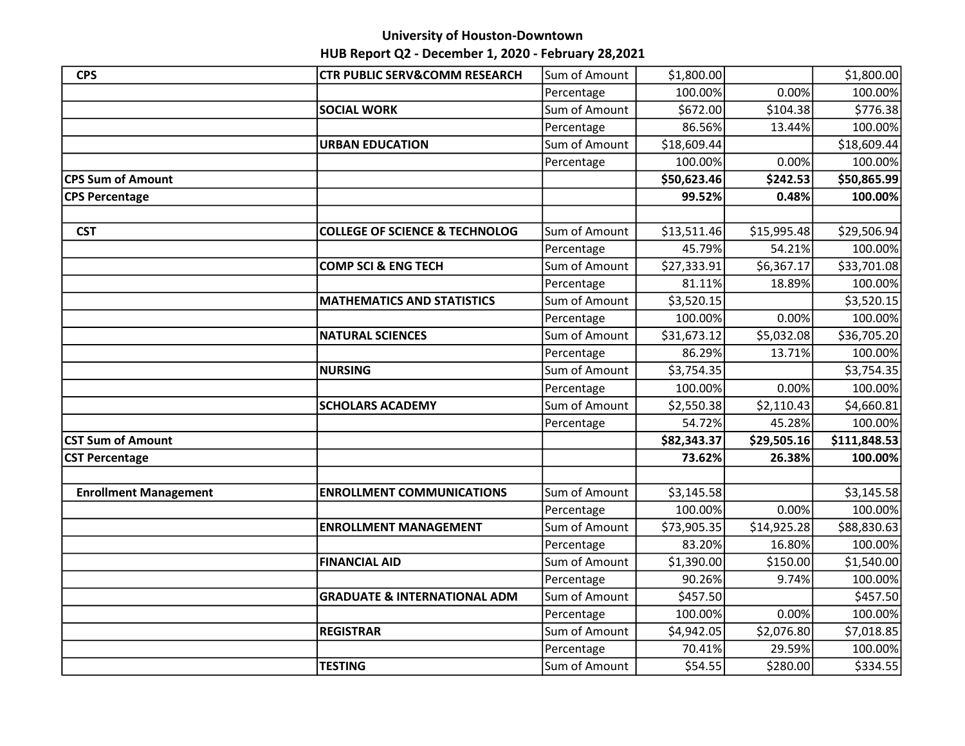### University of Houston-Downtown

# HUB Report Q2 - December 1, 2020 - February 28,2021

| <b>CPS</b>                   | <b>CTR PUBLIC SERV&amp;COMM RESEARCH</b>  | Sum of Amount | \$1,800.00  |             | \$1,800.00   |
|------------------------------|-------------------------------------------|---------------|-------------|-------------|--------------|
|                              |                                           | Percentage    | 100.00%     | 0.00%       | 100.00%      |
|                              | <b>SOCIAL WORK</b>                        | Sum of Amount | \$672.00    | \$104.38    | \$776.38     |
|                              |                                           | Percentage    | 86.56%      | 13.44%      | 100.00%      |
|                              | <b>URBAN EDUCATION</b>                    | Sum of Amount | \$18,609.44 |             | \$18,609.44  |
|                              |                                           | Percentage    | 100.00%     | 0.00%       | 100.00%      |
| <b>CPS Sum of Amount</b>     |                                           |               | \$50,623.46 | \$242.53    | \$50,865.99  |
| <b>CPS Percentage</b>        |                                           |               | 99.52%      | 0.48%       | 100.00%      |
|                              |                                           |               |             |             |              |
| <b>CST</b>                   | <b>COLLEGE OF SCIENCE &amp; TECHNOLOG</b> | Sum of Amount | \$13,511.46 | \$15,995.48 | \$29,506.94  |
|                              |                                           | Percentage    | 45.79%      | 54.21%      | 100.00%      |
|                              | <b>COMP SCI &amp; ENG TECH</b>            | Sum of Amount | \$27,333.91 | \$6,367.17  | \$33,701.08  |
|                              |                                           | Percentage    | 81.11%      | 18.89%      | 100.00%      |
|                              | <b>MATHEMATICS AND STATISTICS</b>         | Sum of Amount | \$3,520.15  |             | \$3,520.15   |
|                              |                                           | Percentage    | 100.00%     | 0.00%       | 100.00%      |
|                              | <b>NATURAL SCIENCES</b>                   | Sum of Amount | \$31,673.12 | \$5,032.08  | \$36,705.20  |
|                              |                                           | Percentage    | 86.29%      | 13.71%      | 100.00%      |
|                              | <b>NURSING</b>                            | Sum of Amount | \$3,754.35  |             | \$3,754.35   |
|                              |                                           | Percentage    | 100.00%     | 0.00%       | 100.00%      |
|                              | <b>SCHOLARS ACADEMY</b>                   | Sum of Amount | \$2,550.38  | \$2,110.43  | \$4,660.81   |
|                              |                                           | Percentage    | 54.72%      | 45.28%      | 100.00%      |
| <b>CST Sum of Amount</b>     |                                           |               | \$82,343.37 | \$29,505.16 | \$111,848.53 |
| <b>CST Percentage</b>        |                                           |               | 73.62%      | 26.38%      | 100.00%      |
|                              |                                           |               |             |             |              |
| <b>Enrollment Management</b> | <b>ENROLLMENT COMMUNICATIONS</b>          | Sum of Amount | \$3,145.58  |             | \$3,145.58   |
|                              |                                           | Percentage    | 100.00%     | 0.00%       | 100.00%      |
|                              | <b>ENROLLMENT MANAGEMENT</b>              | Sum of Amount | \$73,905.35 | \$14,925.28 | \$88,830.63  |
|                              |                                           | Percentage    | 83.20%      | 16.80%      | 100.00%      |
|                              | <b>FINANCIAL AID</b>                      | Sum of Amount | \$1,390.00  | \$150.00    | \$1,540.00   |
|                              |                                           | Percentage    | 90.26%      | 9.74%       | 100.00%      |
|                              | <b>GRADUATE &amp; INTERNATIONAL ADM</b>   | Sum of Amount | \$457.50    |             | \$457.50     |
|                              |                                           | Percentage    | 100.00%     | 0.00%       | 100.00%      |
|                              | <b>REGISTRAR</b>                          | Sum of Amount | \$4,942.05  | \$2,076.80  | \$7,018.85   |
|                              |                                           | Percentage    | 70.41%      | 29.59%      | 100.00%      |
|                              | <b>TESTING</b>                            | Sum of Amount | \$54.55     | \$280.00    | \$334.55     |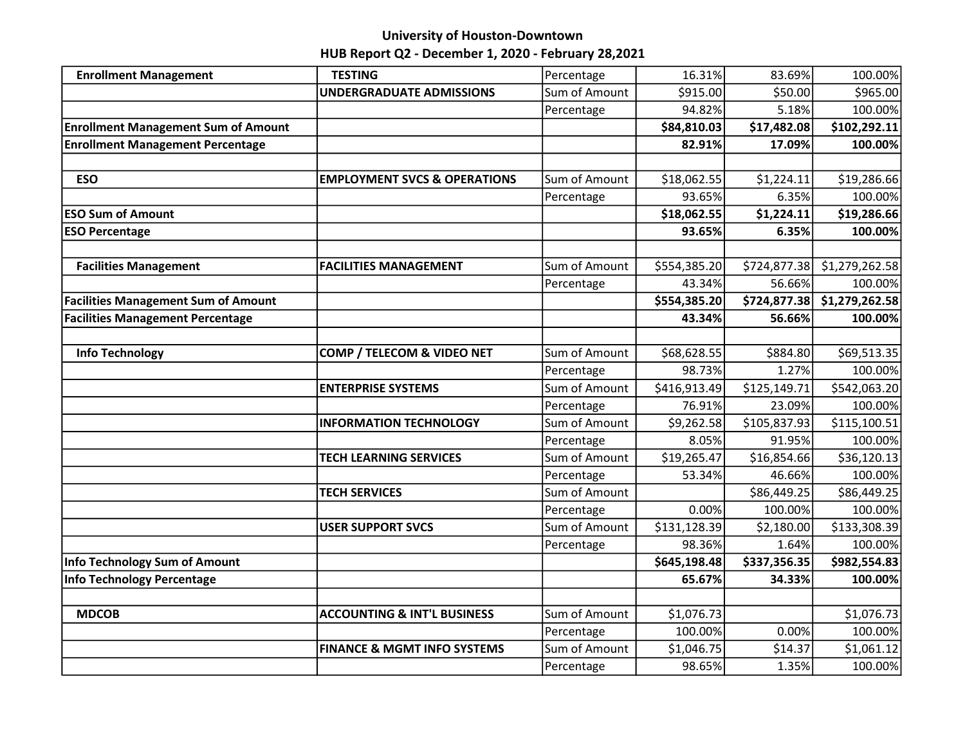# University of Houston-Downtown

HUB Report Q2 - December 1, 2020 - February 28,2021

| <b>Enrollment Management</b>               | <b>TESTING</b>                          | Percentage    | 16.31%       | 83.69%       | 100.00%        |
|--------------------------------------------|-----------------------------------------|---------------|--------------|--------------|----------------|
|                                            | <b>UNDERGRADUATE ADMISSIONS</b>         | Sum of Amount | \$915.00     | \$50.00      | \$965.00       |
|                                            |                                         | Percentage    | 94.82%       | 5.18%        | 100.00%        |
| <b>Enrollment Management Sum of Amount</b> |                                         |               | \$84,810.03  | \$17,482.08  | \$102,292.11   |
| <b>Enrollment Management Percentage</b>    |                                         |               | 82.91%       | 17.09%       | 100.00%        |
|                                            |                                         |               |              |              |                |
| <b>ESO</b>                                 | <b>EMPLOYMENT SVCS &amp; OPERATIONS</b> | Sum of Amount | \$18,062.55  | \$1,224.11   | \$19,286.66    |
|                                            |                                         | Percentage    | 93.65%       | 6.35%        | 100.00%        |
| <b>ESO Sum of Amount</b>                   |                                         |               | \$18,062.55  | \$1,224.11   | \$19,286.66    |
| <b>ESO Percentage</b>                      |                                         |               | 93.65%       | 6.35%        | 100.00%        |
|                                            |                                         |               |              |              |                |
| <b>Facilities Management</b>               | <b>FACILITIES MANAGEMENT</b>            | Sum of Amount | \$554,385.20 | \$724,877.38 | \$1,279,262.58 |
|                                            |                                         | Percentage    | 43.34%       | 56.66%       | 100.00%        |
| <b>Facilities Management Sum of Amount</b> |                                         |               | \$554,385.20 | \$724,877.38 | \$1,279,262.58 |
| <b>Facilities Management Percentage</b>    |                                         |               | 43.34%       | 56.66%       | 100.00%        |
|                                            |                                         |               |              |              |                |
| <b>Info Technology</b>                     | COMP / TELECOM & VIDEO NET              | Sum of Amount | \$68,628.55  | \$884.80     | \$69,513.35    |
|                                            |                                         | Percentage    | 98.73%       | 1.27%        | 100.00%        |
|                                            | <b>ENTERPRISE SYSTEMS</b>               | Sum of Amount | \$416,913.49 | \$125,149.71 | \$542,063.20   |
|                                            |                                         | Percentage    | 76.91%       | 23.09%       | 100.00%        |
|                                            | <b>INFORMATION TECHNOLOGY</b>           | Sum of Amount | \$9,262.58   | \$105,837.93 | \$115,100.51   |
|                                            |                                         | Percentage    | 8.05%        | 91.95%       | 100.00%        |
|                                            | <b>TECH LEARNING SERVICES</b>           | Sum of Amount | \$19,265.47  | \$16,854.66  | \$36,120.13    |
|                                            |                                         | Percentage    | 53.34%       | 46.66%       | 100.00%        |
|                                            | <b>TECH SERVICES</b>                    | Sum of Amount |              | \$86,449.25  | \$86,449.25    |
|                                            |                                         | Percentage    | 0.00%        | 100.00%      | 100.00%        |
|                                            | <b>USER SUPPORT SVCS</b>                | Sum of Amount | \$131,128.39 | \$2,180.00   | \$133,308.39   |
|                                            |                                         | Percentage    | 98.36%       | 1.64%        | 100.00%        |
| Info Technology Sum of Amount              |                                         |               | \$645,198.48 | \$337,356.35 | \$982,554.83   |
| Info Technology Percentage                 |                                         |               | 65.67%       | 34.33%       | 100.00%        |
|                                            |                                         |               |              |              |                |
| <b>MDCOB</b>                               | <b>ACCOUNTING &amp; INT'L BUSINESS</b>  | Sum of Amount | \$1,076.73   |              | \$1,076.73     |
|                                            |                                         | Percentage    | 100.00%      | 0.00%        | 100.00%        |
|                                            | <b>FINANCE &amp; MGMT INFO SYSTEMS</b>  | Sum of Amount | \$1,046.75   | \$14.37      | \$1,061.12     |
|                                            |                                         | Percentage    | 98.65%       | 1.35%        | 100.00%        |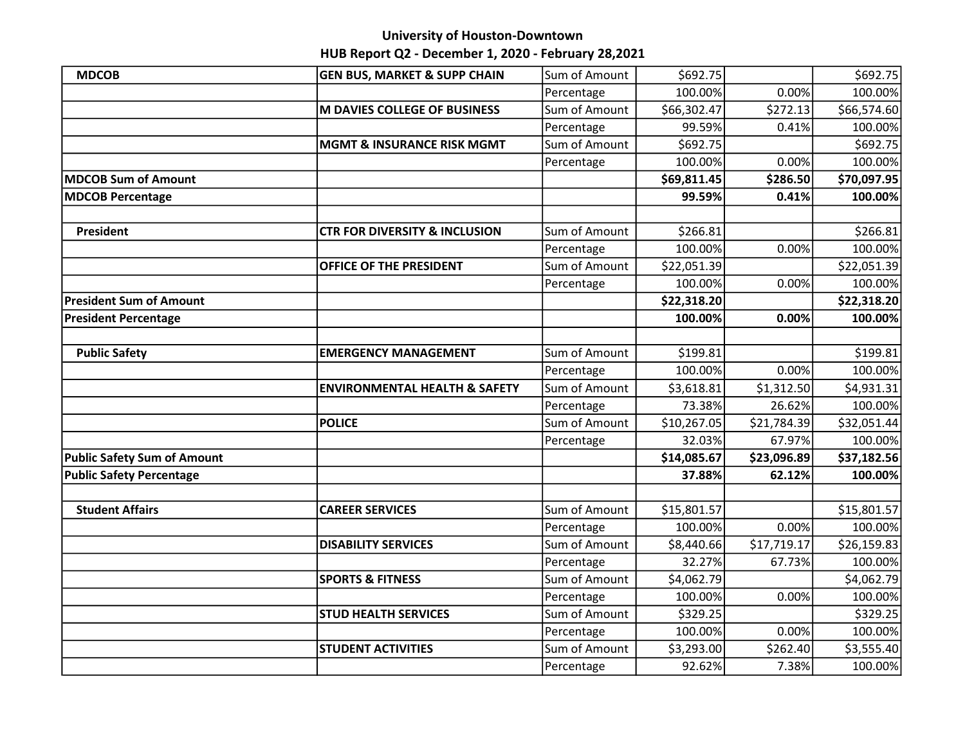### University of Houston-Downtown

# HUB Report Q2 - December 1, 2020 - February 28,2021

| <b>MDCOB</b>                       | <b>GEN BUS, MARKET &amp; SUPP CHAIN</b>  | Sum of Amount | \$692.75    |             | \$692.75    |
|------------------------------------|------------------------------------------|---------------|-------------|-------------|-------------|
|                                    |                                          | Percentage    | 100.00%     | 0.00%       | 100.00%     |
|                                    | <b>M DAVIES COLLEGE OF BUSINESS</b>      | Sum of Amount | \$66,302.47 | \$272.13    | \$66,574.60 |
|                                    |                                          | Percentage    | 99.59%      | 0.41%       | 100.00%     |
|                                    | <b>MGMT &amp; INSURANCE RISK MGMT</b>    | Sum of Amount | \$692.75    |             | \$692.75    |
|                                    |                                          | Percentage    | 100.00%     | 0.00%       | 100.00%     |
| <b>MDCOB Sum of Amount</b>         |                                          |               | \$69,811.45 | \$286.50    | \$70,097.95 |
| <b>MDCOB Percentage</b>            |                                          |               | 99.59%      | 0.41%       | 100.00%     |
|                                    |                                          |               |             |             |             |
| <b>President</b>                   | <b>CTR FOR DIVERSITY &amp; INCLUSION</b> | Sum of Amount | \$266.81    |             | \$266.81    |
|                                    |                                          | Percentage    | 100.00%     | 0.00%       | 100.00%     |
|                                    | OFFICE OF THE PRESIDENT                  | Sum of Amount | \$22,051.39 |             | \$22,051.39 |
|                                    |                                          | Percentage    | 100.00%     | 0.00%       | 100.00%     |
| <b>President Sum of Amount</b>     |                                          |               | \$22,318.20 |             | \$22,318.20 |
| <b>President Percentage</b>        |                                          |               | 100.00%     | 0.00%       | 100.00%     |
|                                    |                                          |               |             |             |             |
| <b>Public Safety</b>               | <b>EMERGENCY MANAGEMENT</b>              | Sum of Amount | \$199.81    |             | \$199.81    |
|                                    |                                          | Percentage    | 100.00%     | 0.00%       | 100.00%     |
|                                    | <b>ENVIRONMENTAL HEALTH &amp; SAFETY</b> | Sum of Amount | \$3,618.81  | \$1,312.50  | \$4,931.31  |
|                                    |                                          | Percentage    | 73.38%      | 26.62%      | 100.00%     |
|                                    | <b>POLICE</b>                            | Sum of Amount | \$10,267.05 | \$21,784.39 | \$32,051.44 |
|                                    |                                          | Percentage    | 32.03%      | 67.97%      | 100.00%     |
| <b>Public Safety Sum of Amount</b> |                                          |               | \$14,085.67 | \$23,096.89 | \$37,182.56 |
| <b>Public Safety Percentage</b>    |                                          |               | 37.88%      | 62.12%      | 100.00%     |
|                                    |                                          |               |             |             |             |
| <b>Student Affairs</b>             | <b>CAREER SERVICES</b>                   | Sum of Amount | \$15,801.57 |             | \$15,801.57 |
|                                    |                                          | Percentage    | 100.00%     | 0.00%       | 100.00%     |
|                                    | <b>DISABILITY SERVICES</b>               | Sum of Amount | \$8,440.66  | \$17,719.17 | \$26,159.83 |
|                                    |                                          | Percentage    | 32.27%      | 67.73%      | 100.00%     |
|                                    | <b>SPORTS &amp; FITNESS</b>              | Sum of Amount | \$4,062.79  |             | \$4,062.79  |
|                                    |                                          | Percentage    | 100.00%     | 0.00%       | 100.00%     |
|                                    | <b>STUD HEALTH SERVICES</b>              | Sum of Amount | \$329.25    |             | \$329.25    |
|                                    |                                          | Percentage    | 100.00%     | 0.00%       | 100.00%     |
|                                    | <b>STUDENT ACTIVITIES</b>                | Sum of Amount | \$3,293.00  | \$262.40    | \$3,555.40  |
|                                    |                                          | Percentage    | 92.62%      | 7.38%       | 100.00%     |